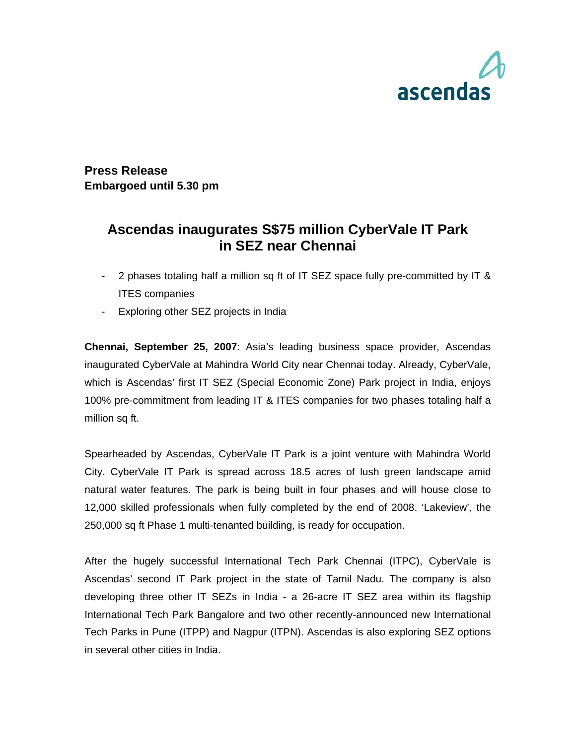

**Press Release Embargoed until 5.30 pm** 

## **Ascendas inaugurates S\$75 million CyberVale IT Park in SEZ near Chennai**

- 2 phases totaling half a million sq ft of IT SEZ space fully pre-committed by IT & ITES companies
- Exploring other SEZ projects in India

**Chennai, September 25, 2007**: Asia's leading business space provider, Ascendas inaugurated CyberVale at Mahindra World City near Chennai today. Already, CyberVale, which is Ascendas' first IT SEZ (Special Economic Zone) Park project in India, enjoys 100% pre-commitment from leading IT & ITES companies for two phases totaling half a million sq ft.

Spearheaded by Ascendas, CyberVale IT Park is a joint venture with Mahindra World City. CyberVale IT Park is spread across 18.5 acres of lush green landscape amid natural water features. The park is being built in four phases and will house close to 12,000 skilled professionals when fully completed by the end of 2008. 'Lakeview', the 250,000 sq ft Phase 1 multi-tenanted building, is ready for occupation.

After the hugely successful International Tech Park Chennai (ITPC), CyberVale is Ascendas' second IT Park project in the state of Tamil Nadu. The company is also developing three other IT SEZs in India - a 26-acre IT SEZ area within its flagship International Tech Park Bangalore and two other recently-announced new International Tech Parks in Pune (ITPP) and Nagpur (ITPN). Ascendas is also exploring SEZ options in several other cities in India.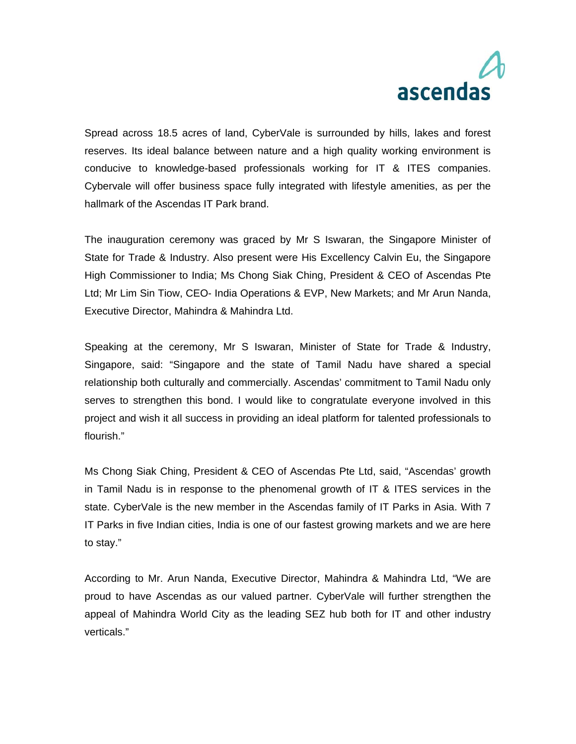# ascendas

Spread across 18.5 acres of land, CyberVale is surrounded by hills, lakes and forest reserves. Its ideal balance between nature and a high quality working environment is conducive to knowledge-based professionals working for IT & ITES companies. Cybervale will offer business space fully integrated with lifestyle amenities, as per the hallmark of the Ascendas IT Park brand.

The inauguration ceremony was graced by Mr S Iswaran, the Singapore Minister of State for Trade & Industry. Also present were His Excellency Calvin Eu, the Singapore High Commissioner to India; Ms Chong Siak Ching, President & CEO of Ascendas Pte Ltd; Mr Lim Sin Tiow, CEO- India Operations & EVP, New Markets; and Mr Arun Nanda, Executive Director, Mahindra & Mahindra Ltd.

Speaking at the ceremony, Mr S Iswaran, Minister of State for Trade & Industry, Singapore, said: "Singapore and the state of Tamil Nadu have shared a special relationship both culturally and commercially. Ascendas' commitment to Tamil Nadu only serves to strengthen this bond. I would like to congratulate everyone involved in this project and wish it all success in providing an ideal platform for talented professionals to flourish."

Ms Chong Siak Ching, President & CEO of Ascendas Pte Ltd, said, "Ascendas' growth in Tamil Nadu is in response to the phenomenal growth of IT & ITES services in the state. CyberVale is the new member in the Ascendas family of IT Parks in Asia. With 7 IT Parks in five Indian cities, India is one of our fastest growing markets and we are here to stay."

According to Mr. Arun Nanda, Executive Director, Mahindra & Mahindra Ltd, "We are proud to have Ascendas as our valued partner. CyberVale will further strengthen the appeal of Mahindra World City as the leading SEZ hub both for IT and other industry verticals."